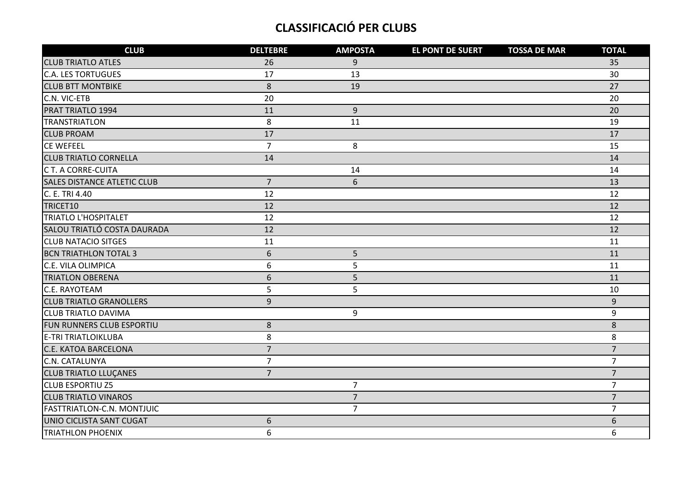## **CLASSIFICACIÓ PER CLUBS**

| <b>CLUB</b>                        | <b>DELTEBRE</b> | <b>AMPOSTA</b> | <b>EL PONT DE SUERT</b> | <b>TOSSA DE MAR</b> | <b>TOTAL</b>     |
|------------------------------------|-----------------|----------------|-------------------------|---------------------|------------------|
| <b>CLUB TRIATLO ATLES</b>          | 26              | 9              |                         |                     | 35               |
| <b>C.A. LES TORTUGUES</b>          | 17              | 13             |                         |                     | 30               |
| <b>CLUB BTT MONTBIKE</b>           | 8               | 19             |                         |                     | 27               |
| C.N. VIC-ETB                       | 20              |                |                         |                     | 20               |
| <b>PRAT TRIATLO 1994</b>           | 11              | $9$            |                         |                     | 20               |
| TRANSTRIATLON                      | 8               | 11             |                         |                     | 19               |
| <b>CLUB PROAM</b>                  | 17              |                |                         |                     | 17               |
| CE WEFEEL                          | $\overline{7}$  | 8              |                         |                     | 15               |
| <b>CLUB TRIATLO CORNELLA</b>       | 14              |                |                         |                     | 14               |
| C T. A CORRE-CUITA                 |                 | 14             |                         |                     | 14               |
| <b>SALES DISTANCE ATLETIC CLUB</b> | $\overline{7}$  | 6              |                         |                     | 13               |
| C. E. TRI 4.40                     | 12              |                |                         |                     | 12               |
| TRICET10                           | 12              |                |                         |                     | 12               |
| <b>TRIATLO L'HOSPITALET</b>        | 12              |                |                         |                     | 12               |
| SALOU TRIATLÓ COSTA DAURADA        | 12              |                |                         |                     | 12               |
| <b>CLUB NATACIO SITGES</b>         | 11              |                |                         |                     | 11               |
| <b>BCN TRIATHLON TOTAL 3</b>       | 6               | 5              |                         |                     | 11               |
| C.E. VILA OLIMPICA                 | 6               | 5              |                         |                     | 11               |
| <b>TRIATLON OBERENA</b>            | 6               | 5              |                         |                     | 11               |
| C.E. RAYOTEAM                      | 5               | 5              |                         |                     | 10               |
| <b>CLUB TRIATLO GRANOLLERS</b>     | 9               |                |                         |                     | 9                |
| <b>CLUB TRIATLO DAVIMA</b>         |                 | 9              |                         |                     | 9                |
| <b>FUN RUNNERS CLUB ESPORTIU</b>   | 8               |                |                         |                     | 8                |
| <b>E-TRI TRIATLOIKLUBA</b>         | 8               |                |                         |                     | 8                |
| <b>C.E. KATOA BARCELONA</b>        | $\overline{7}$  |                |                         |                     | $\overline{7}$   |
| C.N. CATALUNYA                     | $\overline{7}$  |                |                         |                     | $\overline{7}$   |
| <b>CLUB TRIATLO LLUCANES</b>       | $\overline{7}$  |                |                         |                     | $\overline{7}$   |
| <b>CLUB ESPORTIU Z5</b>            |                 | $\overline{7}$ |                         |                     | $\overline{7}$   |
| <b>CLUB TRIATLO VINAROS</b>        |                 | $\overline{7}$ |                         |                     | $\overline{7}$   |
| <b>FASTTRIATLON-C.N. MONTJUIC</b>  |                 | $\overline{7}$ |                         |                     | $\overline{7}$   |
| UNIO CICLISTA SANT CUGAT           | 6               |                |                         |                     | $\boldsymbol{6}$ |
| <b>TRIATHLON PHOENIX</b>           | 6               |                |                         |                     | 6                |